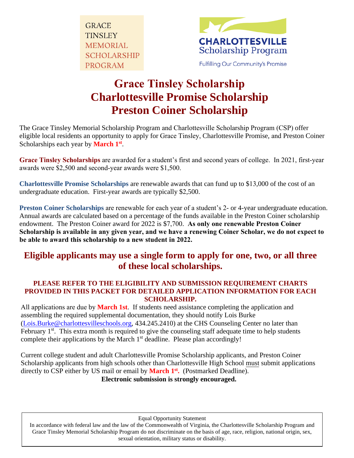**GRACE TINSLEY MEMORIAL SCHOLARSHIP PROGRAM** 



## **Grace Tinsley Scholarship Charlottesville Promise Scholarship Preston Coiner Scholarship**

The Grace Tinsley Memorial Scholarship Program and Charlottesville Scholarship Program (CSP) offer eligible local residents an opportunity to apply for Grace Tinsley, Charlottesville Promise, and Preston Coiner Scholarships each year by **March 1**<sup>st</sup>.

**Grace Tinsley Scholarships** are awarded for a student's first and second years of college. In 2021, first-year awards were \$2,500 and second-year awards were \$1,500.

**Charlottesville Promise Scholarships** are renewable awards that can fund up to \$13,000 of the cost of an undergraduate education. First-year awards are typically \$2,500.

**Preston Coiner Scholarships** are renewable for each year of a student's 2- or 4-year undergraduate education. Annual awards are calculated based on a percentage of the funds available in the Preston Coiner scholarship endowment. The Preston Coiner award for 2022 is \$7,700. **As only one renewable Preston Coiner Scholarship is available in any given year, and we have a renewing Coiner Scholar, we do not expect to be able to award this scholarship to a new student in 2022.**

### **Eligible applicants may use a single form to apply for one, two, or all three of these local scholarships.**

#### **PLEASE REFER TO THE ELIGIBILITY AND SUBMISSION REQUIREMENT CHARTS PROVIDED IN THIS PACKET FOR DETAILED APPLICATION INFORMATION FOR EACH SCHOLARSHIP.**

All applications are due by **March 1st**. If students need assistance completing the application and assembling the required supplemental documentation, they should notify Lois Burke [\(Lois.Burke@charlottesvilleschools.org,](Lois.Burke@charlottesvilleschools.org) 434.245.2410) at the CHS Counseling Center no later than February  $1<sup>st</sup>$ . This extra month is required to give the counseling staff adequate time to help students complete their applications by the March  $1<sup>st</sup>$  deadline. Please plan accordingly!

Current college student and adult Charlottesville Promise Scholarship applicants, and Preston Coiner Scholarship applicants from high schools other than Charlottesville High School must submit applications directly to CSP either by US mail or email by **March 1<sup>st</sup>**. (Postmarked Deadline). **Electronic submission is strongly encouraged.** 

Equal Opportunity Statement

In accordance with federal law and the law of the Commonwealth of Virginia, the Charlottesville Scholarship Program and Grace Tinsley Memorial Scholarship Program do not discriminate on the basis of age, race, religion, national origin, sex, sexual orientation, military status or disability.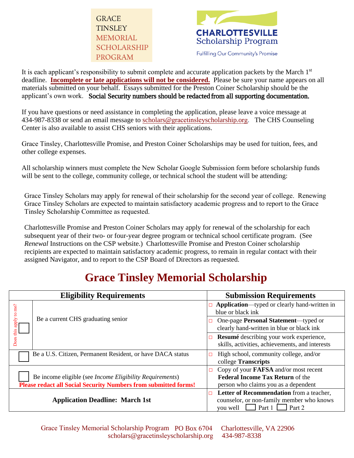



It is each applicant's responsibility to submit complete and accurate application packets by the March 1<sup>st</sup> deadline. **Incomplete or late applications will not be considered.** Please be sure your name appears on all materials submitted on your behalf. Essays submitted for the Preston Coiner Scholarship should be the applicant's own work. Social Security numbers should be redacted from all supporting documentation.

If you have questions or need assistance in completing the application, please leave a voice message at 434-987-8338 or send an email message to scholars@gracetinsley[scholarship.o](scholars@gracetinsleyscholarship.org)rg. The CHS Counseling Center is also available to assist CHS seniors with their applications.

Grace Tinsley, Charlottesville Promise, and Preston Coiner Scholarships may be used for tuition, fees, and other college expenses.

All scholarship winners must complete the New Scholar Google Submission form before scholarship funds will be sent to the college, community college, or technical school the student will be attending:

Grace Tinsley Scholars may apply for renewal of their scholarship for the second year of college. Renewing Grace Tinsley Scholars are expected to maintain satisfactory academic progress and to report to the Grace Tinsley Scholarship Committee as requested.

Charlottesville Promise and Preston Coiner Scholars may apply for renewal of the scholarship for each subsequent year of their two- or four-year degree program or technical school certificate program. (See *Renewal* Instructions on the CSP website.) Charlottesville Promise and Preston Coiner scholarship recipients are expected to maintain satisfactory academic progress, to remain in regular contact with their assigned Navigator, and to report to the CSP Board of Directors as requested.

## **Grace Tinsley Memorial Scholarship**

| <b>Eligibility Requirements</b>                                                                                                            | <b>Submission Requirements</b>                                                                                                  |
|--------------------------------------------------------------------------------------------------------------------------------------------|---------------------------------------------------------------------------------------------------------------------------------|
| me?<br>$\overline{c}$<br>Be a current CHS graduating senior<br>apply                                                                       | Application—typed or clearly hand-written in<br>blue or black ink                                                               |
|                                                                                                                                            | One-page Personal Statement—typed or<br>clearly hand-written in blue or black ink                                               |
| Does this                                                                                                                                  | Resumé describing your work experience,<br>skills, activities, achievements, and interests                                      |
| Be a U.S. Citizen, Permanent Resident, or have DACA status                                                                                 | High school, community college, and/or<br>college Transcripts                                                                   |
| Be income eligible (see <i>Income Eligibility Requirements</i> )<br><b>Please redact all Social Security Numbers from submitted forms!</b> | Copy of your <b>FAFSA</b> and/or most recent<br><b>Federal Income Tax Return of the</b><br>person who claims you as a dependent |
| <b>Application Deadline: March 1st</b>                                                                                                     | Letter of Recommendation from a teacher,<br>$\Box$<br>counselor, or non-family member who knows<br>Part 2<br>Part 1<br>vou well |

Grace Tinsley Memorial Scholarship Program PO Box 6704 Charlottesville, VA 22906 scholars@gracetinsley[scholarship.o](scholars@gracetinsleyscholarship.org)rg 434-987-8338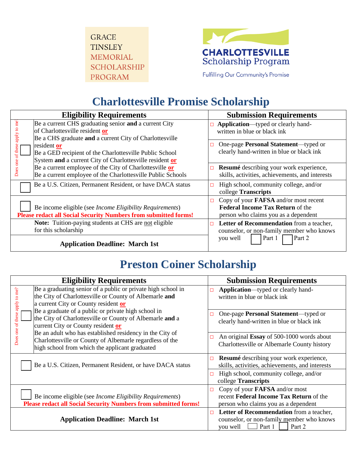**GRACE TINSLEY MEMORIAL SCHOLARSHIP PROGRAM** 



Fulfilling Our Community's Promise

# **Charlottesville Promise Scholarship**

| <b>Eligibility Requirements</b>                                                                                                                                      | <b>Submission Requirements</b>                                                                                                  |
|----------------------------------------------------------------------------------------------------------------------------------------------------------------------|---------------------------------------------------------------------------------------------------------------------------------|
| me<br>Be a current CHS graduating senior and a current City<br>apply to<br>of Charlottesville resident or<br>Be a CHS graduate and a current City of Charlottesville | Application—typed or clearly hand-<br>$\Box$<br>written in blue or black ink                                                    |
| resident or<br>of these<br>Be a GED recipient of the Charlottesville Public School<br>System and a current City of Charlottesville resident or                       | One-page Personal Statement—typed or<br>$\Box$<br>clearly hand-written in blue or black ink                                     |
| Does one<br>Be a current employee of the City of Charlottesville or<br>Be a current employee of the Charlottesville Public Schools                                   | Resumé describing your work experience,<br>$\Box$<br>skills, activities, achievements, and interests                            |
| Be a U.S. Citizen, Permanent Resident, or have DACA status                                                                                                           | High school, community college, and/or<br>□<br>college Transcripts                                                              |
| Be income eligible (see <i>Income Eligibility Requirements</i> )<br><b>Please redact all Social Security Numbers from submitted forms!</b>                           | Copy of your <b>FAFSA</b> and/or most recent<br><b>Federal Income Tax Return of the</b><br>person who claims you as a dependent |
| <b>Note:</b> Tuition-paying students at CHS are not eligible<br>for this scholarship                                                                                 | Letter of Recommendation from a teacher,<br>$\Box$<br>counselor, or non-family member who knows                                 |
| <b>Application Deadline: March 1st</b>                                                                                                                               | Part 1<br>Part 2<br>you well                                                                                                    |

## **Preston Coiner Scholarship**

| <b>Eligibility Requirements</b>                                                                                                                                                                                               | <b>Submission Requirements</b>                                                                                                |
|-------------------------------------------------------------------------------------------------------------------------------------------------------------------------------------------------------------------------------|-------------------------------------------------------------------------------------------------------------------------------|
| Be a graduating senior of a public or private high school in<br>to me?<br>the City of Charlottesville or County of Albemarle and<br>apply<br>a current City or County resident or                                             | Application-typed or clearly hand-<br>$\Box$<br>written in blue or black ink                                                  |
| Be a graduate of a public or private high school in<br>of these<br>the City of Charlottesville or County of Albemarle and a<br>current City or County resident or<br>Be an adult who has established residency in the City of | One-page Personal Statement—typed or<br>П<br>clearly hand-written in blue or black ink                                        |
| Does one<br>Charlottesville or County of Albemarle regardless of the<br>high school from which the applicant graduated                                                                                                        | An original Essay of 500-1000 words about<br>Charlottesville or Albemarle County history                                      |
| Be a U.S. Citizen, Permanent Resident, or have DACA status                                                                                                                                                                    | Resumé describing your work experience,<br>$\Box$<br>skills, activities, achievements, and interests                          |
|                                                                                                                                                                                                                               | High school, community college, and/or<br>П<br>college Transcripts                                                            |
| Be income eligible (see <i>Income Eligibility Requirements</i> )<br><b>Please redact all Social Security Numbers from submitted forms!</b>                                                                                    | Copy of your <b>FAFSA</b> and/or most<br>□<br>recent Federal Income Tax Return of the<br>person who claims you as a dependent |
| <b>Application Deadline: March 1st</b>                                                                                                                                                                                        | Letter of Recommendation from a teacher,<br>п<br>counselor, or non-family member who knows<br>Part 1<br>Part 2<br>you well    |